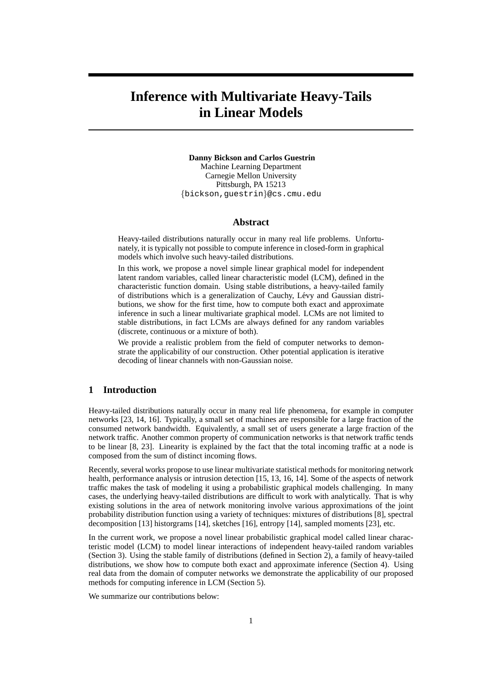# **Inference with Multivariate Heavy-Tails in Linear Models**

**Danny Bickson and Carlos Guestrin** Machine Learning Department Carnegie Mellon University Pittsburgh, PA 15213 {bickson,guestrin}@cs.cmu.edu

# **Abstract**

Heavy-tailed distributions naturally occur in many real life problems. Unfortunately, it is typically not possible to compute inference in closed-form in graphical models which involve such heavy-tailed distributions.

In this work, we propose a novel simple linear graphical model for independent latent random variables, called linear characteristic model (LCM), defined in the characteristic function domain. Using stable distributions, a heavy-tailed family of distributions which is a generalization of Cauchy, Levy and Gaussian distri- ´ butions, we show for the first time, how to compute both exact and approximate inference in such a linear multivariate graphical model. LCMs are not limited to stable distributions, in fact LCMs are always defined for any random variables (discrete, continuous or a mixture of both).

We provide a realistic problem from the field of computer networks to demonstrate the applicability of our construction. Other potential application is iterative decoding of linear channels with non-Gaussian noise.

# **1 Introduction**

Heavy-tailed distributions naturally occur in many real life phenomena, for example in computer networks [23, 14, 16]. Typically, a small set of machines are responsible for a large fraction of the consumed network bandwidth. Equivalently, a small set of users generate a large fraction of the network traffic. Another common property of communication networks is that network traffic tends to be linear [8, 23]. Linearity is explained by the fact that the total incoming traffic at a node is composed from the sum of distinct incoming flows.

Recently, several works propose to use linear multivariate statistical methods for monitoring network health, performance analysis or intrusion detection [15, 13, 16, 14]. Some of the aspects of network traffic makes the task of modeling it using a probabilistic graphical models challenging. In many cases, the underlying heavy-tailed distributions are difficult to work with analytically. That is why existing solutions in the area of network monitoring involve various approximations of the joint probability distribution function using a variety of techniques: mixtures of distributions [8], spectral decomposition [13] historgrams [14], sketches [16], entropy [14], sampled moments [23], etc.

In the current work, we propose a novel linear probabilistic graphical model called linear characteristic model (LCM) to model linear interactions of independent heavy-tailed random variables (Section 3). Using the stable family of distributions (defined in Section 2), a family of heavy-tailed distributions, we show how to compute both exact and approximate inference (Section 4). Using real data from the domain of computer networks we demonstrate the applicability of our proposed methods for computing inference in LCM (Section 5).

We summarize our contributions below: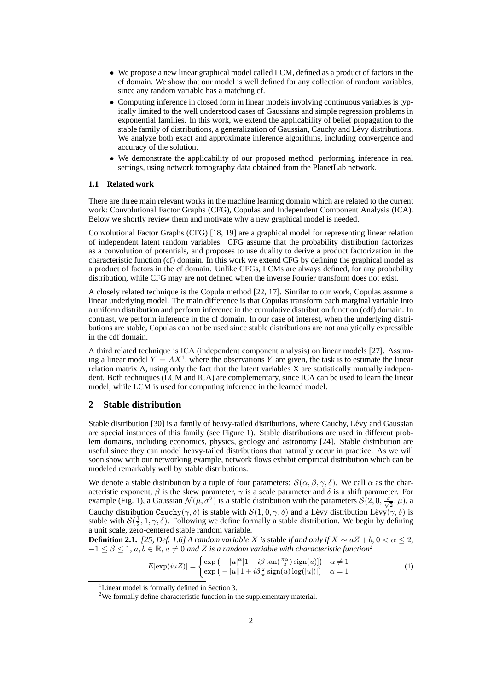- We propose a new linear graphical model called LCM, defined as a product of factors in the cf domain. We show that our model is well defined for any collection of random variables, since any random variable has a matching cf.
- Computing inference in closed form in linear models involving continuous variables is typically limited to the well understood cases of Gaussians and simple regression problems in exponential families. In this work, we extend the applicability of belief propagation to the stable family of distributions, a generalization of Gaussian, Cauchy and Lévy distributions. We analyze both exact and approximate inference algorithms, including convergence and accuracy of the solution.
- We demonstrate the applicability of our proposed method, performing inference in real settings, using network tomography data obtained from the PlanetLab network.

#### **1.1 Related work**

There are three main relevant works in the machine learning domain which are related to the current work: Convolutional Factor Graphs (CFG), Copulas and Independent Component Analysis (ICA). Below we shortly review them and motivate why a new graphical model is needed.

Convolutional Factor Graphs (CFG) [18, 19] are a graphical model for representing linear relation of independent latent random variables. CFG assume that the probability distribution factorizes as a convolution of potentials, and proposes to use duality to derive a product factorization in the characteristic function (cf) domain. In this work we extend CFG by defining the graphical model as a product of factors in the cf domain. Unlike CFGs, LCMs are always defined, for any probability distribution, while CFG may are not defined when the inverse Fourier transform does not exist.

A closely related technique is the Copula method [22, 17]. Similar to our work, Copulas assume a linear underlying model. The main difference is that Copulas transform each marginal variable into a uniform distribution and perform inference in the cumulative distribution function (cdf) domain. In contrast, we perform inference in the cf domain. In our case of interest, when the underlying distributions are stable, Copulas can not be used since stable distributions are not analytically expressible in the cdf domain.

A third related technique is ICA (independent component analysis) on linear models [27]. Assuming a linear model  $Y = AX^1$ , where the observations Y are given, the task is to estimate the linear relation matrix A, using only the fact that the latent variables X are statistically mutually independent. Both techniques (LCM and ICA) are complementary, since ICA can be used to learn the linear model, while LCM is used for computing inference in the learned model.

## **2 Stable distribution**

Stable distribution [30] is a family of heavy-tailed distributions, where Cauchy, Lévy and Gaussian are special instances of this family (see Figure 1). Stable distributions are used in different problem domains, including economics, physics, geology and astronomy [24]. Stable distribution are useful since they can model heavy-tailed distributions that naturally occur in practice. As we will soon show with our networking example, network flows exhibit empirical distribution which can be modeled remarkably well by stable distributions.

We denote a stable distribution by a tuple of four parameters:  $S(\alpha, \beta, \gamma, \delta)$ . We call  $\alpha$  as the characteristic exponent,  $\beta$  is the skew parameter,  $\gamma$  is a scale parameter and  $\delta$  is a shift parameter. For example (Fig. 1), a Gaussian  $\mathcal{N}(\mu, \sigma^2)$  is a stable distribution with the parameters  $\mathcal{S}(2, 0, \frac{\sigma}{\sqrt{2}}, \mu)$ , a Cauchy distribution Cauchy( $\gamma$ ,  $\delta$ ) is stable with  $\mathcal{S}(1, 0, \gamma, \delta)$  and a Lévy distribution Lévy( $\gamma$ ,  $\delta$ ) is stable with  $S(\frac{1}{2}, 1, \gamma, \delta)$ . Following we define formally a stable distribution. We begin by defining a unit scale, zero-centered stable random variable.

**Definition 2.1.** *[25, Def. 1.6] A random variable X is stable if and only if*  $X \sim aZ + b$ ,  $0 < \alpha \leq 2$ ,  $-1 \leq \beta \leq 1$ ,  $a, b \in \mathbb{R}$ ,  $a \neq 0$  *and* Z *is a random variable with characteristic function*<sup>2</sup>

$$
E[\exp(iuZ)] = \begin{cases} \exp\left(-|u|^{\alpha}[1-i\beta\tan(\frac{\pi\alpha}{2})\operatorname{sign}(u)]\right) & \alpha \neq 1\\ \exp\left(-|u|[1+i\beta_{\pi}^{2}\operatorname{sign}(u)\log(|u|)]\right) & \alpha = 1 \end{cases} . \tag{1}
$$

<sup>&</sup>lt;sup>1</sup>Linear model is formally defined in Section 3.

<sup>&</sup>lt;sup>2</sup>We formally define characteristic function in the supplementary material.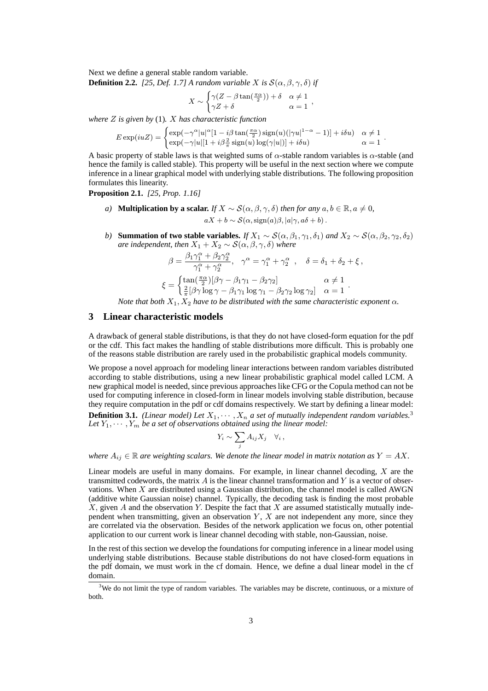Next we define a general stable random variable. **Definition 2.2.** *[25, Def. 1.7] A random variable X is*  $S(\alpha, \beta, \gamma, \delta)$  *if* 

$$
X \sim \begin{cases} \gamma(Z-\beta \tan(\frac{\pi \alpha}{2})) + \delta & \alpha \neq 1 \\ \gamma Z + \delta & \alpha = 1 \end{cases},
$$

*where* Z *is given by* (1)*.* X *has characteristic function*

$$
E \exp(iuZ) = \begin{cases} \exp(-\gamma^{\alpha}|u|^{\alpha}[1 - i\beta \tan(\frac{\pi \alpha}{2}) \operatorname{sign}(u)(|\gamma u|^{1-\alpha} - 1)] + i\delta u) & \alpha \neq 1 \\ \exp(-\gamma|u|[1 + i\beta \frac{2}{\pi} \operatorname{sign}(u) \log(\gamma|u|)] + i\delta u) & \alpha = 1 \end{cases}.
$$

A basic property of stable laws is that weighted sums of  $\alpha$ -stable random variables is  $\alpha$ -stable (and hence the family is called stable). This property will be useful in the next section where we compute inference in a linear graphical model with underlying stable distributions. The following proposition formulates this linearity.

**Proposition 2.1.** *[25, Prop. 1.16]*

- *a*) **Multiplication by a scalar.** *If*  $X \sim S(\alpha, \beta, \gamma, \delta)$  *then for any*  $a, b \in \mathbb{R}, a \neq 0$ ,  $aX + b \sim \mathcal{S}(\alpha, \text{sign}(a)\beta, |a|\gamma, a\delta + b)$ .
- *b*) **Summation of two stable variables.** *If*  $X_1 \sim S(\alpha, \beta_1, \gamma_1, \delta_1)$  *and*  $X_2 \sim S(\alpha, \beta_2, \gamma_2, \delta_2)$ *are independent, then*  $X_1 + X_2 \sim S(\alpha, \beta, \gamma, \delta)$  *where*

$$
\begin{aligned} \beta &= \frac{\beta_1\gamma_1^\alpha + \beta_2\gamma_2^\alpha}{\gamma_1^\alpha + \gamma_2^\alpha}, \quad \gamma^\alpha = \gamma_1^\alpha + \gamma_2^\alpha \ , \quad \delta = \delta_1 + \delta_2 + \xi \ , \\ \xi &= \begin{cases} \tan(\frac{\pi\alpha}{2})[\beta\gamma - \beta_1\gamma_1 - \beta_2\gamma_2] & \alpha \neq 1 \\ \frac{2}{\pi}[\beta\gamma\log\gamma - \beta_1\gamma_1\log\gamma_1 - \beta_2\gamma_2\log\gamma_2] & \alpha = 1 \end{cases} \ . \end{aligned}
$$

*Note that both*  $X_1, X_2$  *have to be distributed with the same characteristic exponent*  $\alpha$ *.* 

# **3 Linear characteristic models**

A drawback of general stable distributions, is that they do not have closed-form equation for the pdf or the cdf. This fact makes the handling of stable distributions more difficult. This is probably one of the reasons stable distribution are rarely used in the probabilistic graphical models community.

We propose a novel approach for modeling linear interactions between random variables distributed according to stable distributions, using a new linear probabilistic graphical model called LCM. A new graphical model is needed, since previous approaches like CFG or the Copula method can not be used for computing inference in closed-form in linear models involving stable distribution, because they require computation in the pdf or cdf domains respectively. We start by defining a linear model:

**Definition 3.1.** *(Linear model) Let*  $X_1, \dots, X_n$  *a set of mutually independent random variables.*<sup>3</sup> Let  $Y_1, \dots, Y_m$  be a set of observations obtained using the linear model:

$$
Y_i \sim \sum_j A_{ij} X_j \quad \forall i,
$$

*where*  $A_{ij} \in \mathbb{R}$  *are weighting scalars. We denote the linear model in matrix notation as*  $Y = AX$ .

Linear models are useful in many domains. For example, in linear channel decoding,  $X$  are the transmitted codewords, the matrix  $A$  is the linear channel transformation and  $Y$  is a vector of observations. When X are distributed using a Gaussian distribution, the channel model is called AWGN (additive white Gaussian noise) channel. Typically, the decoding task is finding the most probable  $X$ , given A and the observation Y. Despite the fact that X are assumed statistically mutually independent when transmitting, given an observation  $Y$ ,  $X$  are not independent any more, since they are correlated via the observation. Besides of the network application we focus on, other potential application to our current work is linear channel decoding with stable, non-Gaussian, noise.

In the rest of this section we develop the foundations for computing inference in a linear model using underlying stable distributions. Because stable distributions do not have closed-form equations in the pdf domain, we must work in the cf domain. Hence, we define a dual linear model in the cf domain.

<sup>&</sup>lt;sup>3</sup>We do not limit the type of random variables. The variables may be discrete, continuous, or a mixture of both.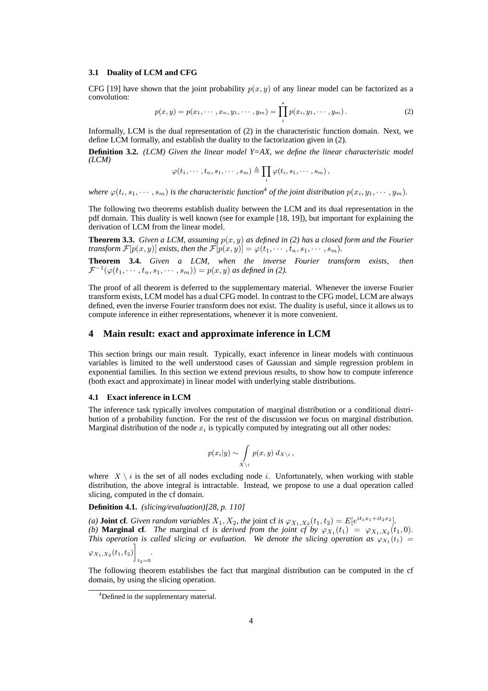#### **3.1 Duality of LCM and CFG**

CFG [19] have shown that the joint probability  $p(x, y)$  of any linear model can be factorized as a convolution:

$$
p(x,y) = p(x_1, \dots, x_n, y_1, \dots, y_m) = \prod_{i}^{*} p(x_i, y_1, \dots, y_m).
$$
 (2)

Informally, LCM is the dual representation of (2) in the characteristic function domain. Next, we define LCM formally, and establish the duality to the factorization given in (2).

**Definition 3.2.** *(LCM) Given the linear model Y=AX, we define the linear characteristic model (LCM)*

$$
\varphi(t_1,\cdots,t_n,s_1,\cdots,s_m)\triangleq \prod_i \varphi(t_i,s_1,\cdots,s_m)\,,
$$

*where*  $\varphi(t_i, s_1, \dots, s_m)$  *is the characteristic function*<sup>4</sup> *of the joint distribution*  $p(x_i, y_1, \dots, y_m)$ *.* 

The following two theorems establish duality between the LCM and its dual representation in the pdf domain. This duality is well known (see for example [18, 19]), but important for explaining the derivation of LCM from the linear model.

**Theorem 3.3.** *Given a LCM, assuming*  $p(x, y)$  *as defined in (2) has a closed form and the Fourier transform*  $\mathcal{F}[p(x, y)]$  *exists, then the*  $\mathcal{F}[p(x, y)] = \varphi(t_1, \dots, t_n, s_1, \dots, s_m)$ *.* 

**Theorem 3.4.** *Given a LCM, when the inverse Fourier transform exists, then*  $\mathcal{F}^{-1}(\varphi(t_1,\cdots,t_n,s_1,\cdots,s_m))=p(x,y)$  as defined in (2).

The proof of all theorem is deferred to the supplementary material. Whenever the inverse Fourier transform exists, LCM model has a dual CFG model. In contrast to the CFG model, LCM are always defined, even the inverse Fourier transform does not exist. The duality is useful, since it allows us to compute inference in either representations, whenever it is more convenient.

## **4 Main result: exact and approximate inference in LCM**

This section brings our main result. Typically, exact inference in linear models with continuous variables is limited to the well understood cases of Gaussian and simple regression problem in exponential families. In this section we extend previous results, to show how to compute inference (both exact and approximate) in linear model with underlying stable distributions.

#### **4.1 Exact inference in LCM**

The inference task typically involves computation of marginal distribution or a conditional distribution of a probability function. For the rest of the discussion we focus on marginal distribution. Marginal distribution of the node  $x_i$  is typically computed by integrating out all other nodes:

$$
p(x_i|y) \sim \int\limits_{X \setminus i} p(x,y) \, d_{X \setminus i} \, ,
$$

where  $X \setminus i$  is the set of all nodes excluding node i. Unfortunately, when working with stable distribution, the above integral is intractable. Instead, we propose to use a dual operation called slicing, computed in the cf domain.

**Definition 4.1.** *(slicing/evaluation)[28, p. 110]*

*(a)* **Joint cf***. Given random variables*  $X_1, X_2$ *, the joint cf is*  $\varphi_{X_1, X_2}(t_1, t_2) = E[e^{it_1x_1+it_2x_2}]$ *. (b)* **Marginal cf***. The* marginal cf *is derived from the joint cf by*  $\varphi_{X_1}(t_1) = \varphi_{X_1,X_2}(t_1,0)$ *. This operation is called slicing or evaluation.* We denote the slicing operation as  $\varphi_{X_1}(t_1)$  =  $\varphi_{X_1,X_2}(t_1,t_2)\bigg]$  $t_2=0$ *.*

The following theorem establishes the fact that marginal distribution can be computed in the cf domain, by using the slicing operation.

<sup>4</sup> Defined in the supplementary material.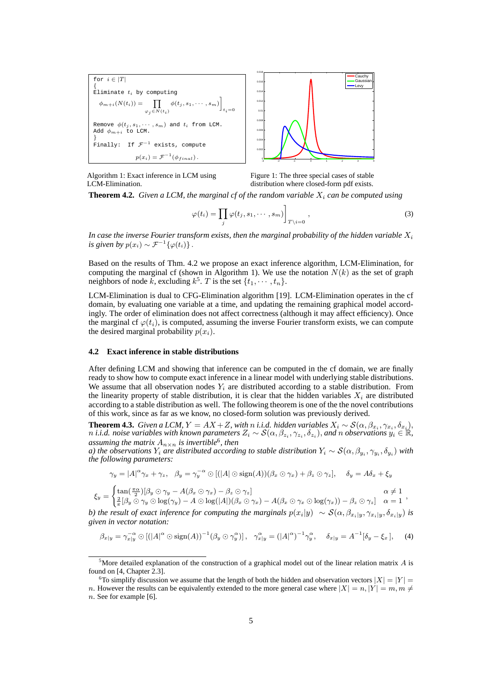

Algorithm 1: Exact inference in LCM using LCM-Elimination.

Figure 1: The three special cases of stable distribution where closed-form pdf exists.

**Theorem 4.2.** *Given a LCM, the marginal cf of the random variable*  $X_i$  *can be computed using* 

$$
\varphi(t_i) = \prod_j \varphi(t_j, s_1, \cdots, s_m) \bigg]_{T \setminus i = 0}, \qquad (3)
$$

In case the inverse Fourier transform exists, then the marginal probability of the hidden variable  $X_i$ *is given by*  $p(x_i) \sim \mathcal{F}^{-1}{\phi(t_i)}$ .

Based on the results of Thm. 4.2 we propose an exact inference algorithm, LCM-Elimination, for computing the marginal cf (shown in Algorithm 1). We use the notation  $N(k)$  as the set of graph neighbors of node k, excluding  $k^5$ . T is the set  $\{t_1, \dots, t_n\}$ .

LCM-Elimination is dual to CFG-Elimination algorithm [19]. LCM-Elimination operates in the cf domain, by evaluating one variable at a time, and updating the remaining graphical model accordingly. The order of elimination does not affect correctness (although it may affect efficiency). Once the marginal cf  $\varphi(t_i)$ , is computed, assuming the inverse Fourier transform exists, we can compute the desired marginal probability  $p(x_i)$ .

#### **4.2 Exact inference in stable distributions**

After defining LCM and showing that inference can be computed in the cf domain, we are finally ready to show how to compute exact inference in a linear model with underlying stable distributions. We assume that all observation nodes  $Y_i$  are distributed according to a stable distribution. From the linearity property of stable distribution, it is clear that the hidden variables  $X_i$  are distributed according to a stable distribution as well. The following theorem is one of the the novel contributions of this work, since as far as we know, no closed-form solution was previously derived.

**Theorem 4.3.** *Given a LCM,*  $Y = AX + Z$ , with n *i.i.d.* hidden variables  $X_i \sim S(\alpha, \beta_{x_i}, \gamma_{x_i}, \delta_{x_i}),$  $n$  i.i.d. noise variables with known parameters  $Z_i\sim\mathcal{S}(\alpha,\beta_{z_i},\gamma_{z_i},\delta_{z_i}),$  and  $n$  observations  $y_i\in\mathbb{R},$ *assuming the matrix*  $A_{n \times n}$  *is invertible*<sup>6</sup>*, then* 

*a) the observations*  $Y_i$  *are distributed according to stable distribution*  $Y_i \sim S(\alpha, \beta_{y_i}, \gamma_{y_i}, \delta_{y_i})$  *with the following parameters:*

$$
\gamma_y = |A|^\alpha \gamma_x + \gamma_z, \quad \beta_y = \gamma_y^{-\alpha} \odot [(|A| \odot \text{sign}(A))(\beta_x \odot \gamma_x) + \beta_z \odot \gamma_z], \quad \delta_y = A\delta_x + \xi_y
$$

$$
\xi_y = \begin{cases} \tan(\frac{\pi \alpha}{2})[\beta_y \odot \gamma_y - A(\beta_x \odot \gamma_x) - \beta_z \odot \gamma_z] & \alpha \neq 1 \\ \frac{2}{\pi}[\beta_y \odot \gamma_y \odot \log(\gamma_y) - A \odot \log(|A|)(\beta_x \odot \gamma_x) - A(\beta_x \odot \gamma_x \odot \log(\gamma_x)) - \beta_z \odot \gamma_z] & \alpha = 1 \end{cases},
$$

*b) the result of exact inference for computing the marginals*  $p(x_i|y) \sim S(\alpha, \beta_{x_i|y}, \gamma_{x_i|y}, \delta_{x_i|y})$  *is given in vector notation:*

$$
\beta_{x|y} = \gamma_{x|y}^{-\alpha} \odot \left[ (|A|^{\alpha} \odot \text{sign}(A))^{-1} (\beta_y \odot \gamma_y^{\alpha}) \right], \quad \gamma_{x|y}^{\alpha} = (|A|^{\alpha})^{-1} \gamma_y^{\alpha}, \quad \delta_{x|y} = A^{-1} [\delta_y - \xi_x], \tag{4}
$$

<sup>&</sup>lt;sup>5</sup>More detailed explanation of the construction of a graphical model out of the linear relation matrix  $A$  is found on [4, Chapter 2.3].

<sup>&</sup>lt;sup>6</sup>To simplify discussion we assume that the length of both the hidden and observation vectors  $|X| = |Y| =$ n. However the results can be equivalently extended to the more general case where  $|X| = n, |Y| = m, m \neq$ 

n. See for example [6].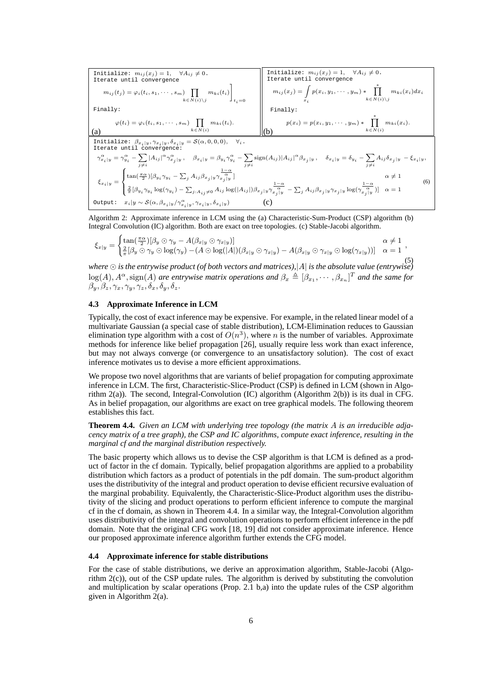$$
\begin{array}{|l|l|}\hline \text{Initialize: }m_{ij}(x_j)=1,\quad\forall A_{ij}\neq0. \\\text{Iterate until convergence} \\\hline \begin{array}{c}m_{ij}(t_j)=\varphi_i(t_i,s_1,\cdots,s_m)\prod\limits_{k\in N(i)\backslash j}m_{ki}(t_i) \\\text{Finally:} \\\hline \begin{array}{c} \varphi(t_i)=\varphi_i(t_i,s_1,\cdots,s_m)\prod\limits_{k\in N(i)\backslash j}m_{ki}(t_i) \\\text{Finally:} \\\hline \begin{array}{c} \varphi(t_i)=\varphi_i(t_i,s_1,\cdots,s_m)\prod\limits_{k\in N(i)}m_{ki}(t_i). \\\hline \begin{array}{c}m_{ij}(x_j)=\int p(x_i,y_1,\cdots,y_m)*\prod\limits_{k\in N(i)\backslash j}m_{ki}(x_i)dx_i \\\text{Finally:} \\\hline \end{array} \\\hline \begin{array}{c} \text{Initialize: } \beta_{x_i|y},\gamma_{x_i|y},\delta_{x_i|y}=S(\alpha,0,0,0), \quad\forall_i. \\\hline \begin{array}{c} \text{Initialize: } \beta_{x_i|y},\gamma_{x_i|y},\delta_{x_i|y}=S(\alpha,0,0,0), \quad\forall i. \\\hline \end{array} \\\hline \begin{array}{c} \gamma_{x_i|y}^{\alpha}=\gamma_{y_i}^{\alpha}-\sum\limits_{j\neq i}|A_{ij}|^{\alpha}\gamma_{x_j|y}^{\alpha}, \quad\beta_{x_i|y}=\beta_{y_i}\gamma_{y_i}^{\alpha}-\sum\limits_{j\neq i}\mathrm{sign}(A_{ij})|A_{ij}|^{\alpha}\beta_{x_j|y}, \quad\delta_{x_i|y}=\delta_{y_i}-\sum\limits_{j\neq i}A_{ij}\delta_{x_j|y}-\xi_{x_i|y}, \\\hline \begin{array}{c} \xi_{x_i|y}=\begin{cases} \tan(\frac{\pi\alpha}{2})[\beta_{y_i}\gamma_{y_i}-\sum_j A_{ij}\beta_{x_j|y}\gamma_{x_j|y}^{\alpha}] \\\frac{\alpha}{\pi}[\beta_{y_i}\gamma_{y_i}\log(\gamma_{y_i})-\sum_{j:A_{ij}\neq0}A_{ij}\log(|A_{ij}|)\beta_{x_j|y}\gamma_{x_j|y}^{\alpha}] \end{cases} \\\hline \begin{array}{c} \text{Output:} \end{array} \qquad \begin{array}{c}
$$

Algorithm 2: Approximate inference in LCM using the (a) Characteristic-Sum-Product (CSP) algorithm (b) Integral Convolution (IC) algorithm. Both are exact on tree topologies. (c) Stable-Jacobi algorithm.

$$
\xi_{x|y} = \begin{cases} \tan(\frac{\pi \alpha}{2})[\beta_y \odot \gamma_y - A(\beta_{x|y} \odot \gamma_{x|y})] & \alpha \neq 1 \\ \frac{2}{\pi}[\beta_y \odot \gamma_y \odot \log(\gamma_y) - (A \odot \log(|A|)(\beta_{x|y} \odot \gamma_{x|y}) - A(\beta_{x|y} \odot \gamma_{x|y} \odot \log(\gamma_{x|y}))] & \alpha = 1 \end{cases},
$$

(5) *where is the entrywise product (of both vectors and matrices),*|A<sup>|</sup> *is the absolute value (entrywise)*  $\log(A)$ ,  $A^{\alpha}$ ,  $\text{sign}(A)$  *are entrywise matrix operations and*  $\beta_x \triangleq [\beta_{x_1}, \cdots, \beta_{x_n}]^T$  *and the same for*  $\beta_y, \beta_z, \gamma_x, \gamma_y, \gamma_z, \delta_x, \delta_y, \delta_z.$ 

## **4.3 Approximate Inference in LCM**

Typically, the cost of exact inference may be expensive. For example, in the related linear model of a multivariate Gaussian (a special case of stable distribution), LCM-Elimination reduces to Gaussian elimination type algorithm with a cost of  $O(n^3)$ , where n is the number of variables. Approximate methods for inference like belief propagation [26], usually require less work than exact inference, but may not always converge (or convergence to an unsatisfactory solution). The cost of exact inference motivates us to devise a more efficient approximations.

We propose two novel algorithms that are variants of belief propagation for computing approximate inference in LCM. The first, Characteristic-Slice-Product (CSP) is defined in LCM (shown in Algorithm 2(a)). The second, Integral-Convolution (IC) algorithm (Algorithm 2(b)) is its dual in CFG. As in belief propagation, our algorithms are exact on tree graphical models. The following theorem establishes this fact.

**Theorem 4.4.** *Given an LCM with underlying tree topology (the matrix* A *is an irreducible adjacency matrix of a tree graph), the CSP and IC algorithms, compute exact inference, resulting in the marginal cf and the marginal distribution respectively.*

The basic property which allows us to devise the CSP algorithm is that LCM is defined as a product of factor in the cf domain. Typically, belief propagation algorithms are applied to a probability distribution which factors as a product of potentials in the pdf domain. The sum-product algorithm uses the distributivity of the integral and product operation to devise efficient recursive evaluation of the marginal probability. Equivalently, the Characteristic-Slice-Product algorithm uses the distributivity of the slicing and product operations to perform efficient inference to compute the marginal cf in the cf domain, as shown in Theorem 4.4. In a similar way, the Integral-Convolution algorithm uses distributivity of the integral and convolution operations to perform efficient inference in the pdf domain. Note that the original CFG work [18, 19] did not consider approximate inference. Hence our proposed approximate inference algorithm further extends the CFG model.

#### **4.4 Approximate inference for stable distributions**

For the case of stable distributions, we derive an approximation algorithm, Stable-Jacobi (Algorithm  $2(c)$ ), out of the CSP update rules. The algorithm is derived by substituting the convolution and multiplication by scalar operations (Prop. 2.1 b,a) into the update rules of the CSP algorithm given in Algorithm  $2(a)$ .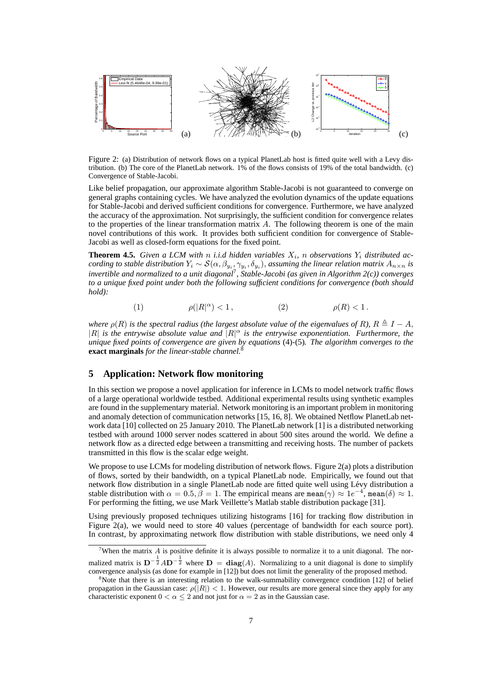

Figure 2: (a) Distribution of network flows on a typical PlanetLab host is fitted quite well with a Levy distribution. (b) The core of the PlanetLab network. 1% of the flows consists of 19% of the total bandwidth. (c) Convergence of Stable-Jacobi.

Like belief propagation, our approximate algorithm Stable-Jacobi is not guaranteed to converge on general graphs containing cycles. We have analyzed the evolution dynamics of the update equations for Stable-Jacobi and derived sufficient conditions for convergence. Furthermore, we have analyzed the accuracy of the approximation. Not surprisingly, the sufficient condition for convergence relates to the properties of the linear transformation matrix A. The following theorem is one of the main novel contributions of this work. It provides both sufficient condition for convergence of Stable-Jacobi as well as closed-form equations for the fixed point.

**Theorem 4.5.** *Given a LCM with n i.i.d hidden variables*  $X_i$ *, n observations*  $Y_i$  *distributed according to stable distribution*  $Y_i \sim S(\alpha, \beta_{y_i}, \gamma_{y_i}, \delta_{y_i})$ , *assuming the linear relation matrix*  $A_{n \times n}$  *is invertible and normalized to a unit diagonal*7*, Stable-Jacobi (as given in Algorithm 2(c)) converges to a unique fixed point under both the following sufficient conditions for convergence (both should hold):*

$$
(1) \qquad \qquad \rho(|R|^{\alpha})<1\,, \qquad \qquad (2) \qquad \qquad \rho(R)<1\,.
$$

*where*  $\rho(R)$  *is the spectral radius (the largest absolute value of the eigenvalues of* R),  $R \triangleq I - A$ ,  $|R|$  *is the entrywise absolute value and*  $|R|^{\alpha}$  *is the entrywise exponentiation. Furthermore, the unique fixed points of convergence are given by equations* (4)*-*(5)*. The algorithm converges to the* **exact marginals** *for the linear-stable channel.*<sup>8</sup>

# **5 Application: Network flow monitoring**

In this section we propose a novel application for inference in LCMs to model network traffic flows of a large operational worldwide testbed. Additional experimental results using synthetic examples are found in the supplementary material. Network monitoring is an important problem in monitoring and anomaly detection of communication networks [15, 16, 8]. We obtained Netflow PlanetLab network data [10] collected on 25 January 2010. The PlanetLab network [1] is a distributed networking testbed with around 1000 server nodes scattered in about 500 sites around the world. We define a network flow as a directed edge between a transmitting and receiving hosts. The number of packets transmitted in this flow is the scalar edge weight.

We propose to use LCMs for modeling distribution of network flows. Figure 2(a) plots a distribution of flows, sorted by their bandwidth, on a typical PlanetLab node. Empirically, we found out that network flow distribution in a single PlanetLab node are fitted quite well using Levy distribution a ´ stable distribution with  $\alpha = 0.5$ ,  $\beta = 1$ . The empirical means are mean( $\gamma$ )  $\approx 1e^{-4}$ , mean( $\delta$ )  $\approx 1$ . For performing the fitting, we use Mark Veillette's Matlab stable distribution package [31].

Using previously proposed techniques utilizing histograms [16] for tracking flow distribution in Figure 2(a), we would need to store 40 values (percentage of bandwidth for each source port). In contrast, by approximating network flow distribution with stable distributions, we need only 4

<sup>&</sup>lt;sup>7</sup>When the matrix  $A$  is positive definite it is always possible to normalize it to a unit diagonal. The normalized matrix is  $D^{-\frac{1}{2}}AD^{-\frac{1}{2}}$  where  $D = diag(A)$ . Normalizing to a unit diagonal is done to simplify convergence analysis (as done for example in [12]) but does not limit the generality of the proposed method.

<sup>&</sup>lt;sup>8</sup>Note that there is an interesting relation to the walk-summability convergence condition [12] of belief propagation in the Gaussian case:  $\rho(|R|) < 1$ . However, our results are more general since they apply for any characteristic exponent  $0 < \alpha \le 2$  and not just for  $\alpha = 2$  as in the Gaussian case.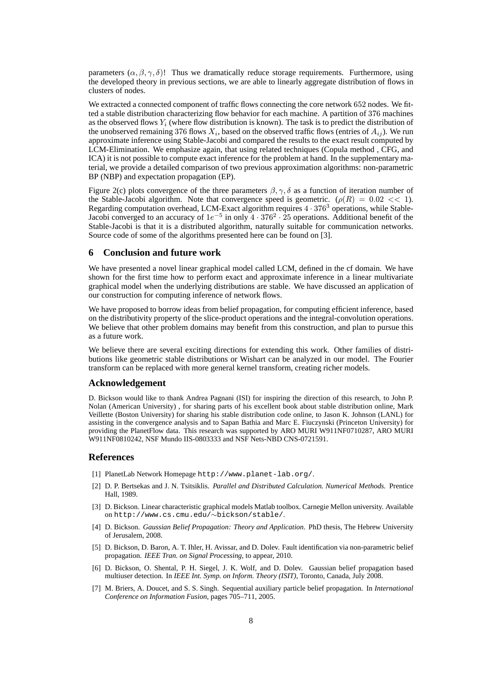parameters  $(\alpha, \beta, \gamma, \delta)$ ! Thus we dramatically reduce storage requirements. Furthermore, using the developed theory in previous sections, we are able to linearly aggregate distribution of flows in clusters of nodes.

We extracted a connected component of traffic flows connecting the core network 652 nodes. We fitted a stable distribution characterizing flow behavior for each machine. A partition of 376 machines as the observed flows  $Y_i$  (where flow distribution is known). The task is to predict the distribution of the unobserved remaining 376 flows  $X_i$ , based on the observed traffic flows (entries of  $A_{ij}$ ). We run approximate inference using Stable-Jacobi and compared the results to the exact result computed by LCM-Elimination. We emphasize again, that using related techniques (Copula method , CFG, and ICA) it is not possible to compute exact inference for the problem at hand. In the supplementary material, we provide a detailed comparison of two previous approximation algorithms: non-parametric BP (NBP) and expectation propagation (EP).

Figure 2(c) plots convergence of the three parameters  $\beta$ ,  $\gamma$ ,  $\delta$  as a function of iteration number of the Stable-Jacobi algorithm. Note that convergence speed is geometric.  $(\rho(R) = 0.02 \ll 1)$ . Regarding computation overhead, LCM-Exact algorithm requires <sup>4</sup> <sup>∙</sup> <sup>376</sup><sup>3</sup> operations, while Stable-Jacobi converged to an accuracy of <sup>1</sup>e−<sup>5</sup> in only <sup>4</sup> <sup>∙</sup> <sup>376</sup><sup>2</sup> <sup>∙</sup> <sup>25</sup> operations. Additional benefit of the Stable-Jacobi is that it is a distributed algorithm, naturally suitable for communication networks. Source code of some of the algorithms presented here can be found on [3].

#### **6 Conclusion and future work**

We have presented a novel linear graphical model called LCM, defined in the cf domain. We have shown for the first time how to perform exact and approximate inference in a linear multivariate graphical model when the underlying distributions are stable. We have discussed an application of our construction for computing inference of network flows.

We have proposed to borrow ideas from belief propagation, for computing efficient inference, based on the distributivity property of the slice-product operations and the integral-convolution operations. We believe that other problem domains may benefit from this construction, and plan to pursue this as a future work.

We believe there are several exciting directions for extending this work. Other families of distributions like geometric stable distributions or Wishart can be analyzed in our model. The Fourier transform can be replaced with more general kernel transform, creating richer models.

## **Acknowledgement**

D. Bickson would like to thank Andrea Pagnani (ISI) for inspiring the direction of this research, to John P. Nolan (American University) , for sharing parts of his excellent book about stable distribution online, Mark Veillette (Boston University) for sharing his stable distribution code online, to Jason K. Johnson (LANL) for assisting in the convergence analysis and to Sapan Bathia and Marc E. Fiuczynski (Princeton University) for providing the PlanetFlow data. This research was supported by ARO MURI W911NF0710287, ARO MURI W911NF0810242, NSF Mundo IIS-0803333 and NSF Nets-NBD CNS-0721591.

## **References**

- [1] PlanetLab Network Homepage http://www.planet-lab.org/.
- [2] D. P. Bertsekas and J. N. Tsitsiklis. *Parallel and Distributed Calculation. Numerical Methods.* Prentice Hall, 1989.
- [3] D. Bickson. Linear characteristic graphical models Matlab toolbox. Carnegie Mellon university. Available on http://www.cs.cmu.edu/∼bickson/stable/.
- [4] D. Bickson. *Gaussian Belief Propagation: Theory and Application*. PhD thesis, The Hebrew University of Jerusalem, 2008.
- [5] D. Bickson, D. Baron, A. T. Ihler, H. Avissar, and D. Dolev. Fault identification via non-parametric belief propagation. *IEEE Tran. on Signal Processing*, to appear, 2010.
- [6] D. Bickson, O. Shental, P. H. Siegel, J. K. Wolf, and D. Dolev. Gaussian belief propagation based multiuser detection. In *IEEE Int. Symp. on Inform. Theory (ISIT)*, Toronto, Canada, July 2008.
- [7] M. Briers, A. Doucet, and S. S. Singh. Sequential auxiliary particle belief propagation. In *International Conference on Information Fusion*, pages 705–711, 2005.